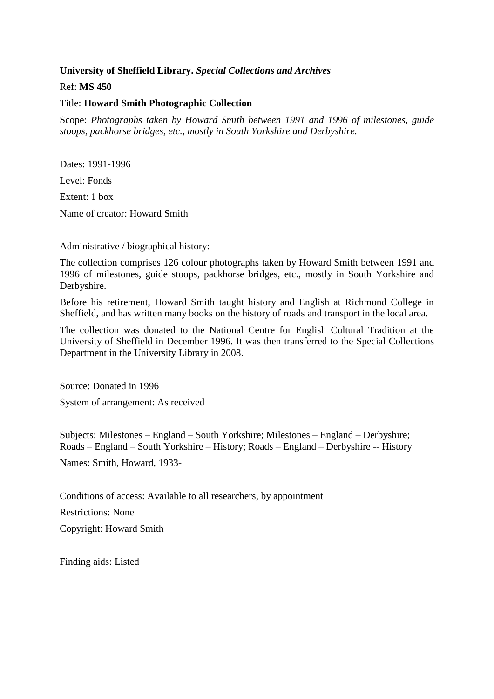## **University of Sheffield Library.** *Special Collections and Archives*

Ref: **MS 450**

## Title: **Howard Smith Photographic Collection**

Scope: *Photographs taken by Howard Smith between 1991 and 1996 of milestones, guide stoops, packhorse bridges, etc., mostly in South Yorkshire and Derbyshire.*

Dates: 1991-1996 Level: Fonds Extent: 1 box Name of creator: Howard Smith

Administrative / biographical history:

The collection comprises 126 colour photographs taken by Howard Smith between 1991 and 1996 of milestones, guide stoops, packhorse bridges, etc., mostly in South Yorkshire and Derbyshire.

Before his retirement, Howard Smith taught history and English at Richmond College in Sheffield, and has written many books on the history of roads and transport in the local area.

The collection was donated to the National Centre for English Cultural Tradition at the University of Sheffield in December 1996. It was then transferred to the Special Collections Department in the University Library in 2008.

Source: Donated in 1996

System of arrangement: As received

Subjects: Milestones – England – South Yorkshire; Milestones – England – Derbyshire; Roads – England – South Yorkshire – History; Roads – England – Derbyshire -- History Names: Smith, Howard, 1933-

Conditions of access: Available to all researchers, by appointment Restrictions: None Copyright: Howard Smith

Finding aids: Listed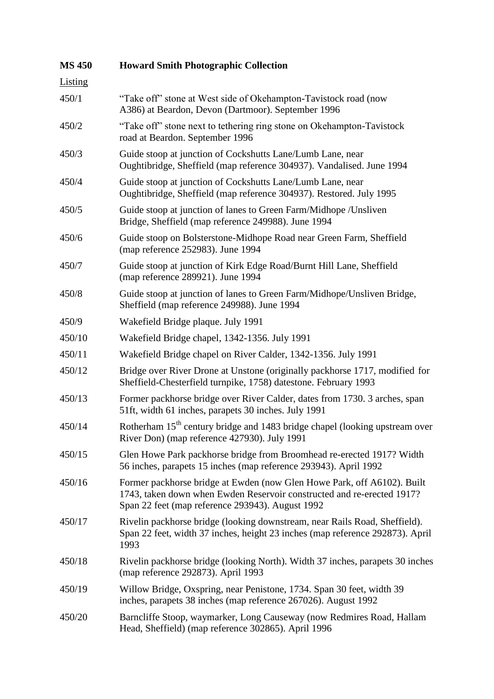| <b>MS 450</b> | <b>Howard Smith Photographic Collection</b>                                                                                                                                                           |
|---------------|-------------------------------------------------------------------------------------------------------------------------------------------------------------------------------------------------------|
| Listing       |                                                                                                                                                                                                       |
| 450/1         | "Take off" stone at West side of Okehampton-Tavistock road (now<br>A386) at Beardon, Devon (Dartmoor). September 1996                                                                                 |
| 450/2         | "Take off" stone next to tethering ring stone on Okehampton-Tavistock<br>road at Beardon. September 1996                                                                                              |
| 450/3         | Guide stoop at junction of Cockshutts Lane/Lumb Lane, near<br>Oughtibridge, Sheffield (map reference 304937). Vandalised. June 1994                                                                   |
| 450/4         | Guide stoop at junction of Cockshutts Lane/Lumb Lane, near<br>Oughtibridge, Sheffield (map reference 304937). Restored. July 1995                                                                     |
| 450/5         | Guide stoop at junction of lanes to Green Farm/Midhope / Unsliven<br>Bridge, Sheffield (map reference 249988). June 1994                                                                              |
| 450/6         | Guide stoop on Bolsterstone-Midhope Road near Green Farm, Sheffield<br>(map reference 252983). June 1994                                                                                              |
| 450/7         | Guide stoop at junction of Kirk Edge Road/Burnt Hill Lane, Sheffield<br>(map reference 289921). June 1994                                                                                             |
| 450/8         | Guide stoop at junction of lanes to Green Farm/Midhope/Unsliven Bridge,<br>Sheffield (map reference 249988). June 1994                                                                                |
| 450/9         | Wakefield Bridge plaque. July 1991                                                                                                                                                                    |
| 450/10        | Wakefield Bridge chapel, 1342-1356. July 1991                                                                                                                                                         |
| 450/11        | Wakefield Bridge chapel on River Calder, 1342-1356. July 1991                                                                                                                                         |
| 450/12        | Bridge over River Drone at Unstone (originally packhorse 1717, modified for<br>Sheffield-Chesterfield turnpike, 1758) datestone. February 1993                                                        |
| 450/13        | Former packhorse bridge over River Calder, dates from 1730. 3 arches, span<br>51ft, width 61 inches, parapets 30 inches. July 1991                                                                    |
| 450/14        | Rotherham 15 <sup>th</sup> century bridge and 1483 bridge chapel (looking upstream over<br>River Don) (map reference 427930). July 1991                                                               |
| 450/15        | Glen Howe Park packhorse bridge from Broomhead re-erected 1917? Width<br>56 inches, parapets 15 inches (map reference 293943). April 1992                                                             |
| 450/16        | Former packhorse bridge at Ewden (now Glen Howe Park, off A6102). Built<br>1743, taken down when Ewden Reservoir constructed and re-erected 1917?<br>Span 22 feet (map reference 293943). August 1992 |
| 450/17        | Rivelin packhorse bridge (looking downstream, near Rails Road, Sheffield).<br>Span 22 feet, width 37 inches, height 23 inches (map reference 292873). April<br>1993                                   |
| 450/18        | Rivelin packhorse bridge (looking North). Width 37 inches, parapets 30 inches<br>(map reference 292873). April 1993                                                                                   |
| 450/19        | Willow Bridge, Oxspring, near Penistone, 1734. Span 30 feet, width 39<br>inches, parapets 38 inches (map reference 267026). August 1992                                                               |
| 450/20        | Barncliffe Stoop, waymarker, Long Causeway (now Redmires Road, Hallam<br>Head, Sheffield) (map reference 302865). April 1996                                                                          |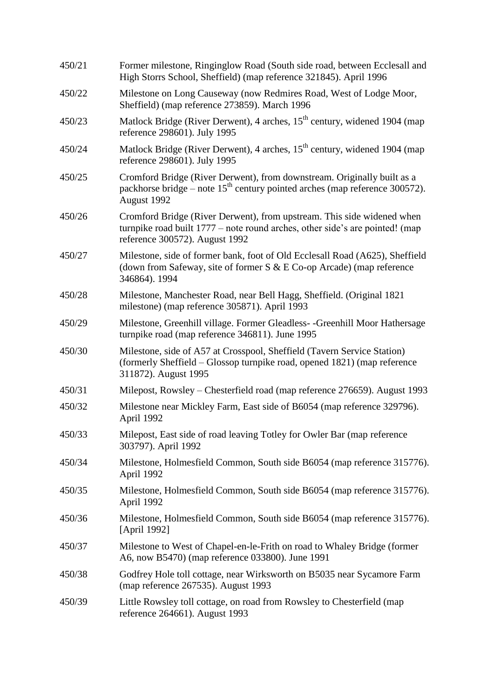| 450/21 | Former milestone, Ringinglow Road (South side road, between Ecclesall and<br>High Storrs School, Sheffield) (map reference 321845). April 1996                                           |
|--------|------------------------------------------------------------------------------------------------------------------------------------------------------------------------------------------|
| 450/22 | Milestone on Long Causeway (now Redmires Road, West of Lodge Moor,<br>Sheffield) (map reference 273859). March 1996                                                                      |
| 450/23 | Matlock Bridge (River Derwent), 4 arches, 15 <sup>th</sup> century, widened 1904 (map<br>reference 298601). July 1995                                                                    |
| 450/24 | Matlock Bridge (River Derwent), 4 arches, 15 <sup>th</sup> century, widened 1904 (map<br>reference 298601). July 1995                                                                    |
| 450/25 | Cromford Bridge (River Derwent), from downstream. Originally built as a<br>packhorse bridge – note $15th$ century pointed arches (map reference 300572).<br>August 1992                  |
| 450/26 | Cromford Bridge (River Derwent), from upstream. This side widened when<br>turnpike road built 1777 – note round arches, other side's are pointed! (map<br>reference 300572). August 1992 |
| 450/27 | Milestone, side of former bank, foot of Old Ecclesall Road (A625), Sheffield<br>(down from Safeway, site of former $S & E$ Co-op Arcade) (map reference<br>346864). 1994                 |
| 450/28 | Milestone, Manchester Road, near Bell Hagg, Sheffield. (Original 1821<br>milestone) (map reference 305871). April 1993                                                                   |
| 450/29 | Milestone, Greenhill village. Former Gleadless- -Greenhill Moor Hathersage<br>turnpike road (map reference 346811). June 1995                                                            |
| 450/30 | Milestone, side of A57 at Crosspool, Sheffield (Tavern Service Station)<br>(formerly Sheffield – Glossop turnpike road, opened 1821) (map reference<br>311872). August 1995              |
| 450/31 | Milepost, Rowsley – Chesterfield road (map reference 276659). August 1993                                                                                                                |
| 450/32 | Milestone near Mickley Farm, East side of B6054 (map reference 329796).<br>April 1992                                                                                                    |
| 450/33 | Milepost, East side of road leaving Totley for Owler Bar (map reference<br>303797). April 1992                                                                                           |
| 450/34 | Milestone, Holmesfield Common, South side B6054 (map reference 315776).<br>April 1992                                                                                                    |
| 450/35 | Milestone, Holmesfield Common, South side B6054 (map reference 315776).<br>April 1992                                                                                                    |
| 450/36 | Milestone, Holmesfield Common, South side B6054 (map reference 315776).<br>[April 1992]                                                                                                  |
| 450/37 | Milestone to West of Chapel-en-le-Frith on road to Whaley Bridge (former<br>A6, now B5470) (map reference 033800). June 1991                                                             |
| 450/38 | Godfrey Hole toll cottage, near Wirksworth on B5035 near Sycamore Farm<br>(map reference 267535). August 1993                                                                            |
| 450/39 | Little Rowsley toll cottage, on road from Rowsley to Chesterfield (map<br>reference 264661). August 1993                                                                                 |
|        |                                                                                                                                                                                          |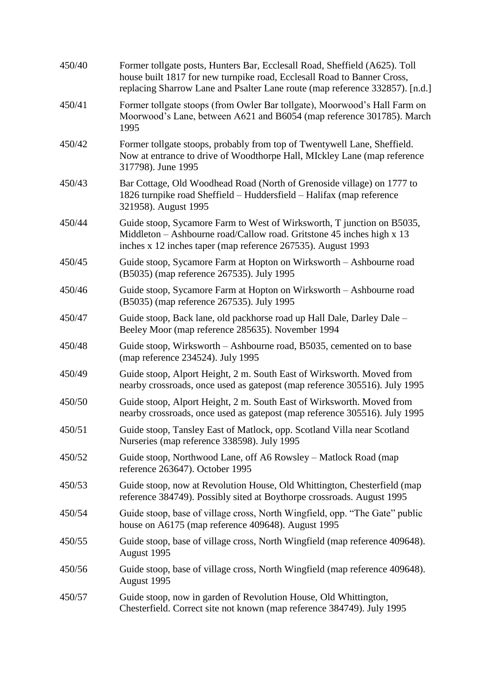| 450/40 | Former tollgate posts, Hunters Bar, Ecclesall Road, Sheffield (A625). Toll<br>house built 1817 for new turnpike road, Ecclesall Road to Banner Cross,<br>replacing Sharrow Lane and Psalter Lane route (map reference 332857). [n.d.] |
|--------|---------------------------------------------------------------------------------------------------------------------------------------------------------------------------------------------------------------------------------------|
| 450/41 | Former tollgate stoops (from Owler Bar tollgate), Moorwood's Hall Farm on<br>Moorwood's Lane, between A621 and B6054 (map reference 301785). March<br>1995                                                                            |
| 450/42 | Former tollgate stoops, probably from top of Twentywell Lane, Sheffield.<br>Now at entrance to drive of Woodthorpe Hall, MIckley Lane (map reference<br>317798). June 1995                                                            |
| 450/43 | Bar Cottage, Old Woodhead Road (North of Grenoside village) on 1777 to<br>1826 turnpike road Sheffield - Huddersfield - Halifax (map reference<br>321958). August 1995                                                                |
| 450/44 | Guide stoop, Sycamore Farm to West of Wirksworth, T junction on B5035,<br>Middleton - Ashbourne road/Callow road. Gritstone 45 inches high x 13<br>inches x 12 inches taper (map reference 267535). August 1993                       |
| 450/45 | Guide stoop, Sycamore Farm at Hopton on Wirksworth – Ashbourne road<br>(B5035) (map reference 267535). July 1995                                                                                                                      |
| 450/46 | Guide stoop, Sycamore Farm at Hopton on Wirksworth – Ashbourne road<br>(B5035) (map reference 267535). July 1995                                                                                                                      |
| 450/47 | Guide stoop, Back lane, old packhorse road up Hall Dale, Darley Dale -<br>Beeley Moor (map reference 285635). November 1994                                                                                                           |
| 450/48 | Guide stoop, Wirksworth - Ashbourne road, B5035, cemented on to base<br>(map reference 234524). July 1995                                                                                                                             |
| 450/49 | Guide stoop, Alport Height, 2 m. South East of Wirksworth. Moved from<br>nearby crossroads, once used as gatepost (map reference 305516). July 1995                                                                                   |
| 450/50 | Guide stoop, Alport Height, 2 m. South East of Wirksworth. Moved from<br>nearby crossroads, once used as gatepost (map reference 305516). July 1995                                                                                   |
| 450/51 | Guide stoop, Tansley East of Matlock, opp. Scotland Villa near Scotland<br>Nurseries (map reference 338598). July 1995                                                                                                                |
| 450/52 | Guide stoop, Northwood Lane, off A6 Rowsley – Matlock Road (map<br>reference 263647). October 1995                                                                                                                                    |
| 450/53 | Guide stoop, now at Revolution House, Old Whittington, Chesterfield (map<br>reference 384749). Possibly sited at Boythorpe crossroads. August 1995                                                                                    |
| 450/54 | Guide stoop, base of village cross, North Wingfield, opp. "The Gate" public<br>house on A6175 (map reference 409648). August 1995                                                                                                     |
| 450/55 | Guide stoop, base of village cross, North Wingfield (map reference 409648).<br>August 1995                                                                                                                                            |
| 450/56 | Guide stoop, base of village cross, North Wingfield (map reference 409648).<br>August 1995                                                                                                                                            |
| 450/57 | Guide stoop, now in garden of Revolution House, Old Whittington,<br>Chesterfield. Correct site not known (map reference 384749). July 1995                                                                                            |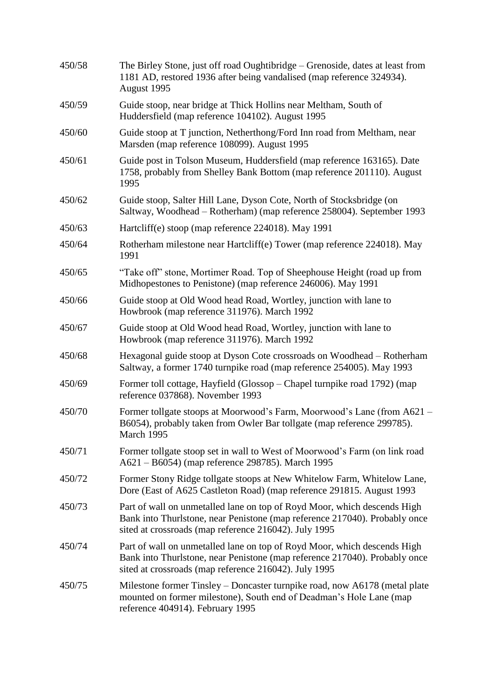| 450/58 | The Birley Stone, just off road Oughtibridge – Grenoside, dates at least from<br>1181 AD, restored 1936 after being vandalised (map reference 324934).<br>August 1995                                           |
|--------|-----------------------------------------------------------------------------------------------------------------------------------------------------------------------------------------------------------------|
| 450/59 | Guide stoop, near bridge at Thick Hollins near Meltham, South of<br>Huddersfield (map reference 104102). August 1995                                                                                            |
| 450/60 | Guide stoop at T junction, Netherthong/Ford Inn road from Meltham, near<br>Marsden (map reference 108099). August 1995                                                                                          |
| 450/61 | Guide post in Tolson Museum, Huddersfield (map reference 163165). Date<br>1758, probably from Shelley Bank Bottom (map reference 201110). August<br>1995                                                        |
| 450/62 | Guide stoop, Salter Hill Lane, Dyson Cote, North of Stocksbridge (on<br>Saltway, Woodhead – Rotherham) (map reference 258004). September 1993                                                                   |
| 450/63 | Hartcliff(e) stoop (map reference 224018). May 1991                                                                                                                                                             |
| 450/64 | Rotherham milestone near Hartcliff(e) Tower (map reference 224018). May<br>1991                                                                                                                                 |
| 450/65 | "Take off" stone, Mortimer Road. Top of Sheephouse Height (road up from<br>Midhopestones to Penistone) (map reference 246006). May 1991                                                                         |
| 450/66 | Guide stoop at Old Wood head Road, Wortley, junction with lane to<br>Howbrook (map reference 311976). March 1992                                                                                                |
| 450/67 | Guide stoop at Old Wood head Road, Wortley, junction with lane to<br>Howbrook (map reference 311976). March 1992                                                                                                |
| 450/68 | Hexagonal guide stoop at Dyson Cote crossroads on Woodhead – Rotherham<br>Saltway, a former 1740 turnpike road (map reference 254005). May 1993                                                                 |
| 450/69 | Former toll cottage, Hayfield (Glossop – Chapel turnpike road 1792) (map<br>reference 037868). November 1993                                                                                                    |
| 450/70 | Former tollgate stoops at Moorwood's Farm, Moorwood's Lane (from A621 –<br>B6054), probably taken from Owler Bar tollgate (map reference 299785).<br>March 1995                                                 |
| 450/71 | Former tollgate stoop set in wall to West of Moorwood's Farm (on link road<br>A621 - B6054) (map reference 298785). March 1995                                                                                  |
| 450/72 | Former Stony Ridge tollgate stoops at New Whitelow Farm, Whitelow Lane,<br>Dore (East of A625 Castleton Road) (map reference 291815. August 1993                                                                |
| 450/73 | Part of wall on unmetalled lane on top of Royd Moor, which descends High<br>Bank into Thurlstone, near Penistone (map reference 217040). Probably once<br>sited at crossroads (map reference 216042). July 1995 |
| 450/74 | Part of wall on unmetalled lane on top of Royd Moor, which descends High<br>Bank into Thurlstone, near Penistone (map reference 217040). Probably once<br>sited at crossroads (map reference 216042). July 1995 |
| 450/75 | Milestone former Tinsley – Doncaster turnpike road, now A6178 (metal plate<br>mounted on former milestone), South end of Deadman's Hole Lane (map<br>reference 404914). February 1995                           |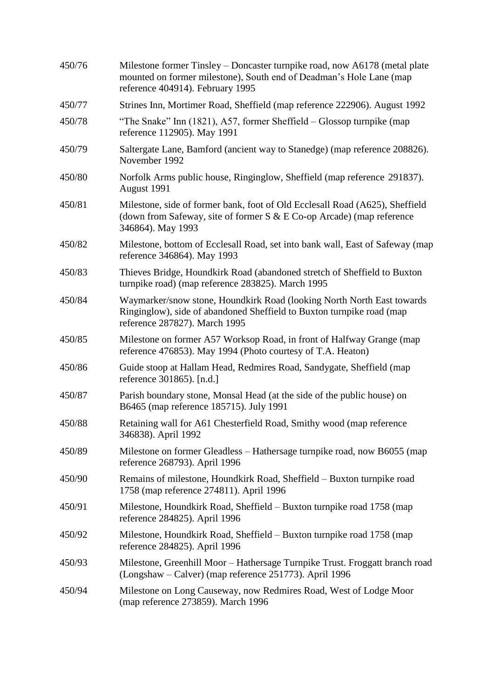| 450/76 | Milestone former Tinsley – Doncaster turnpike road, now A6178 (metal plate<br>mounted on former milestone), South end of Deadman's Hole Lane (map<br>reference 404914). February 1995 |
|--------|---------------------------------------------------------------------------------------------------------------------------------------------------------------------------------------|
| 450/77 | Strines Inn, Mortimer Road, Sheffield (map reference 222906). August 1992                                                                                                             |
| 450/78 | "The Snake" Inn (1821), A57, former Sheffield – Glossop turnpike (map<br>reference 112905). May 1991                                                                                  |
| 450/79 | Saltergate Lane, Bamford (ancient way to Stanedge) (map reference 208826).<br>November 1992                                                                                           |
| 450/80 | Norfolk Arms public house, Ringinglow, Sheffield (map reference 291837).<br>August 1991                                                                                               |
| 450/81 | Milestone, side of former bank, foot of Old Ecclesall Road (A625), Sheffield<br>(down from Safeway, site of former $S & E$ Co-op Arcade) (map reference<br>346864). May 1993          |
| 450/82 | Milestone, bottom of Ecclesall Road, set into bank wall, East of Safeway (map<br>reference 346864). May 1993                                                                          |
| 450/83 | Thieves Bridge, Houndkirk Road (abandoned stretch of Sheffield to Buxton<br>turnpike road) (map reference 283825). March 1995                                                         |
| 450/84 | Waymarker/snow stone, Houndkirk Road (looking North North East towards<br>Ringinglow), side of abandoned Sheffield to Buxton turnpike road (map<br>reference 287827). March 1995      |
| 450/85 | Milestone on former A57 Worksop Road, in front of Halfway Grange (map<br>reference 476853). May 1994 (Photo courtesy of T.A. Heaton)                                                  |
| 450/86 | Guide stoop at Hallam Head, Redmires Road, Sandygate, Sheffield (map<br>reference 301865). [n.d.]                                                                                     |
| 450/87 | Parish boundary stone, Monsal Head (at the side of the public house) on<br>B6465 (map reference 185715). July 1991                                                                    |
| 450/88 | Retaining wall for A61 Chesterfield Road, Smithy wood (map reference<br>346838). April 1992                                                                                           |
| 450/89 | Milestone on former Gleadless – Hathersage turnpike road, now B6055 (map<br>reference 268793). April 1996                                                                             |
| 450/90 | Remains of milestone, Houndkirk Road, Sheffield – Buxton turnpike road<br>1758 (map reference 274811). April 1996                                                                     |
| 450/91 | Milestone, Houndkirk Road, Sheffield – Buxton turnpike road 1758 (map<br>reference 284825). April 1996                                                                                |
| 450/92 | Milestone, Houndkirk Road, Sheffield – Buxton turnpike road 1758 (map<br>reference 284825). April 1996                                                                                |
| 450/93 | Milestone, Greenhill Moor - Hathersage Turnpike Trust. Froggatt branch road<br>(Longshaw – Calver) (map reference 251773). April 1996                                                 |
| 450/94 | Milestone on Long Causeway, now Redmires Road, West of Lodge Moor<br>(map reference 273859). March 1996                                                                               |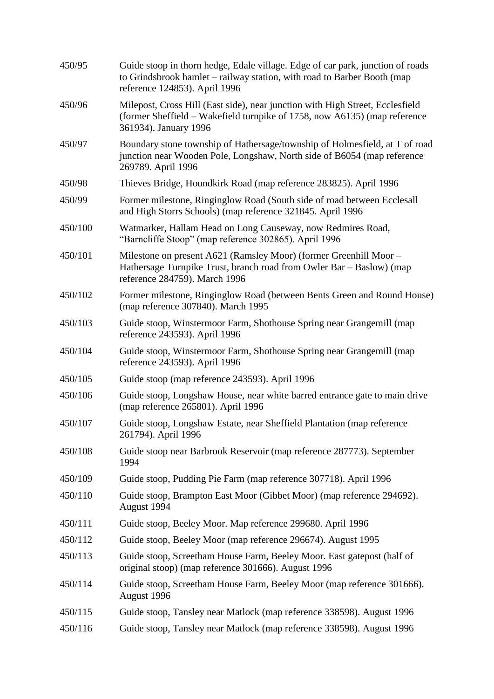| 450/95  | Guide stoop in thorn hedge, Edale village. Edge of car park, junction of roads<br>to Grindsbrook hamlet – railway station, with road to Barber Booth (map<br>reference 124853). April 1996 |
|---------|--------------------------------------------------------------------------------------------------------------------------------------------------------------------------------------------|
| 450/96  | Milepost, Cross Hill (East side), near junction with High Street, Ecclesfield<br>(former Sheffield – Wakefield turnpike of 1758, now A6135) (map reference<br>361934). January 1996        |
| 450/97  | Boundary stone township of Hathersage/township of Holmesfield, at T of road<br>junction near Wooden Pole, Longshaw, North side of B6054 (map reference<br>269789. April 1996               |
| 450/98  | Thieves Bridge, Houndkirk Road (map reference 283825). April 1996                                                                                                                          |
| 450/99  | Former milestone, Ringinglow Road (South side of road between Ecclesall<br>and High Storrs Schools) (map reference 321845. April 1996                                                      |
| 450/100 | Watmarker, Hallam Head on Long Causeway, now Redmires Road,<br>"Barncliffe Stoop" (map reference 302865). April 1996                                                                       |
| 450/101 | Milestone on present A621 (Ramsley Moor) (former Greenhill Moor -<br>Hathersage Turnpike Trust, branch road from Owler Bar – Baslow) (map<br>reference 284759). March 1996                 |
| 450/102 | Former milestone, Ringinglow Road (between Bents Green and Round House)<br>(map reference 307840). March 1995                                                                              |
| 450/103 | Guide stoop, Winstermoor Farm, Shothouse Spring near Grangemill (map<br>reference 243593). April 1996                                                                                      |
| 450/104 | Guide stoop, Winstermoor Farm, Shothouse Spring near Grangemill (map<br>reference 243593). April 1996                                                                                      |
| 450/105 | Guide stoop (map reference 243593). April 1996                                                                                                                                             |
| 450/106 | Guide stoop, Longshaw House, near white barred entrance gate to main drive<br>(map reference 265801). April 1996                                                                           |
| 450/107 | Guide stoop, Longshaw Estate, near Sheffield Plantation (map reference<br>261794). April 1996                                                                                              |
| 450/108 | Guide stoop near Barbrook Reservoir (map reference 287773). September<br>1994                                                                                                              |
| 450/109 | Guide stoop, Pudding Pie Farm (map reference 307718). April 1996                                                                                                                           |
| 450/110 | Guide stoop, Brampton East Moor (Gibbet Moor) (map reference 294692).<br>August 1994                                                                                                       |
| 450/111 | Guide stoop, Beeley Moor. Map reference 299680. April 1996                                                                                                                                 |
| 450/112 | Guide stoop, Beeley Moor (map reference 296674). August 1995                                                                                                                               |
| 450/113 | Guide stoop, Screetham House Farm, Beeley Moor. East gatepost (half of<br>original stoop) (map reference 301666). August 1996                                                              |
| 450/114 | Guide stoop, Screetham House Farm, Beeley Moor (map reference 301666).<br>August 1996                                                                                                      |
| 450/115 | Guide stoop, Tansley near Matlock (map reference 338598). August 1996                                                                                                                      |
| 450/116 | Guide stoop, Tansley near Matlock (map reference 338598). August 1996                                                                                                                      |